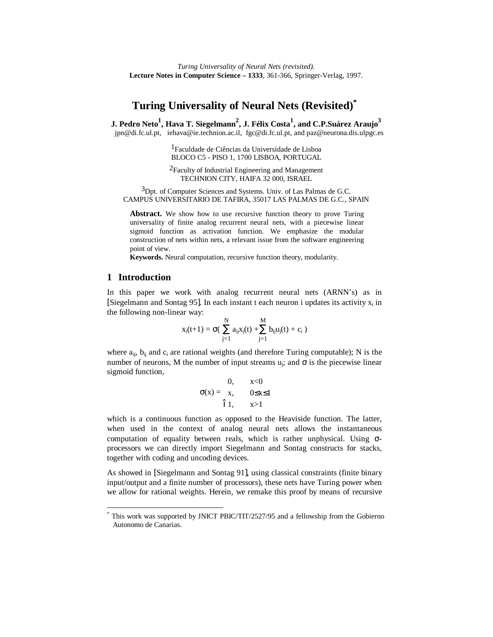# **Turing Universality of Neural Nets (Revisited) \***

 ${\bf J.~Pedro~Neto}^1, {\bf Hava~T.~ Siegelmann}^2, {\bf J.~Félix~Costa}^1, {\bf and~C.P. Suárez Araujo}^3$ jpn@di.fc.ul.pt, iehava@ie.technion.ac.il, fgc@di.fc.ul.pt, and paz@neurona.dis.ulpgc.es

> 1Faculdade de Ciências da Universidade de Lisboa BLOCO C5 - PISO 1, 1700 LISBOA, PORTUGAL

2Faculty of Industrial Engineering and Management TECHNION CITY, HAIFA 32 000, ISRAEL

 $3$ Dpt. of Computer Sciences and Systems. Univ. of Las Palmas de G.C. CAMPUS UNIVERSITARIO DE TAFIRA, 35017 LAS PALMAS DE G.C., SPAIN

Abstract. We show how to use recursive function theory to prove Turing universality of finite analog recurrent neural nets, with a piecewise linear sigmoid function as activation function. We emphasize the modular construction of nets within nets, a relevant issue from the software engineering point of view.

**Keywords.** Neural computation, recursive function theory, modularity.

#### **1 Introduction**

-

In this paper we work with analog recurrent neural nets (ARNN's) as in [Siegelmann and Sontag 95]. In each instant t each neuron i updates its activity  $x_i$  in the following non-linear way:

$$
x_i(t{+}1) = \sigma(\ \sum_{j=1}^N\, a_{ij} x_j(t) + \! \sum_{j=1}^M\, b_{ij} u_j(t) + c_i\ )
$$

where  $a_{ij}$ ,  $b_{ij}$  and  $c_i$  are rational weights (and therefore Turing computable); N is the number of neurons, M the number of input streams  $u_j$ ; and  $\sigma$  is the piecewise linear sigmoid function,

$$
\sigma(x) = \begin{cases} 0, & x < 0 \\ x, & 0 \le x \le 1 \\ 1, & x > 1 \end{cases}
$$

which is a continuous function as opposed to the Heaviside function. The latter, when used in the context of analog neural nets allows the instantaneous computation of equality between reals, which is rather unphysical. Using  $\sigma$ processors we can directly import Siegelmann and Sontag constructs for stacks, together with coding and uncoding devices.

As showed in [Siegelmann and Sontag 91], using classical constraints (finite binary input/output and a finite number of processors), these nets have Turing power when we allow for rational weights. Herein, we remake this proof by means of recursive

<sup>\*</sup> This work was supported by JNICT PBIC/TIT/2527/95 and a fellowship from the Gobierno Autonomo de Canarias.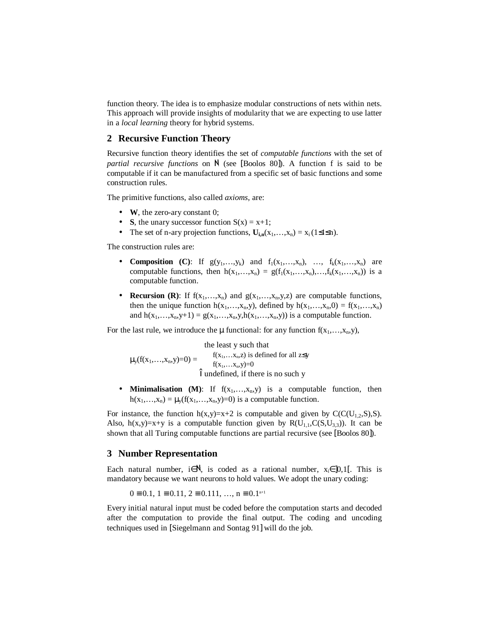function theory. The idea is to emphasize modular constructions of nets within nets. This approach will provide insights of modularity that we are expecting to use latter in a *local learning* theory for hybrid systems.

## **2 Recursive Function Theory**

Recursive function theory identifies the set of *computable functions* with the set of partial recursive functions on N (see [Boolos 80]). A function f is said to be computable if it can be manufactured from a specific set of basic functions and some construction rules.

The primitive functions, also called *axioms*, are:

- **W**, the zero-ary constant 0;
- **S**, the unary successor function  $S(x) = x+1$ ;
- The set of n-ary projection functions,  $U_{i,n}(x_1,...,x_n) = x_i(1 \le i \le n)$ .

The construction rules are:

- **Composition** (C): If  $g(y_1,...,y_k)$  and  $f_1(x_1,...,x_n)$ , …,  $f_k(x_1,...,x_n)$  are computable functions, then  $h(x_1,...,x_n) = g(f_1(x_1,...,x_n),...,f_k(x_1,...,x_n))$  is a computable function.
- **Recursion (R)**: If  $f(x_1,...,x_n)$  and  $g(x_1,...,x_n,y,z)$  are computable functions, then the unique function  $h(x_1,...,x_n,y)$ , defined by  $h(x_1,...,x_n,0) = f(x_1,...,x_n)$ and  $h(x_1,...,x_n,y+1) = g(x_1,...,x_n,y,h(x_1,...,x_n,y))$  is a computable function.

For the last rule, we introduce the  $\mu$  functional: for any function  $f(x_1,...,x_n,y)$ ,

$$
\mu_{y}(f(x_{1},...,x_{n},y)=0)=\begin{cases} \text{the least } y \text{ such that} \\ f(x_{1},...,x_{n},z) \text{ is defined for all } z\leq y \\ f(x_{1},...,x_{n},y)=0 \\ \text{undefined, if there is no such } y \end{cases}
$$

• **Minimalisation** (M): If  $f(x_1,...,x_n,y)$  is a computable function, then  $h(x_1,...,x_n) = \mu_v(f(x_1,...,x_n,y)=0)$  is a computable function.

For instance, the function  $h(x,y)=x+2$  is computable and given by  $C(C(U_{1,2},S),S)$ . Also,  $h(x,y)=x+y$  is a computable function given by  $R(U_{1,1},C(S,U_{3,3}))$ . It can be shown that all Turing computable functions are partial recursive (see [Boolos 80]).

#### **3 Number Representation**

Each natural number, i $\in \mathbb{N}$ , is coded as a rational number,  $x_i \in ]0,1[$ . This is mandatory because we want neurons to hold values. We adopt the unary coding:

$$
0 \equiv 0.1, 1 \equiv 0.11, 2 \equiv 0.111, ..., n \equiv 0.1^{n+1}
$$

Every initial natural input must be coded before the computation starts and decoded after the computation to provide the final output. The coding and uncoding techniques used in [Siegelmann and Sontag 91] will do the job.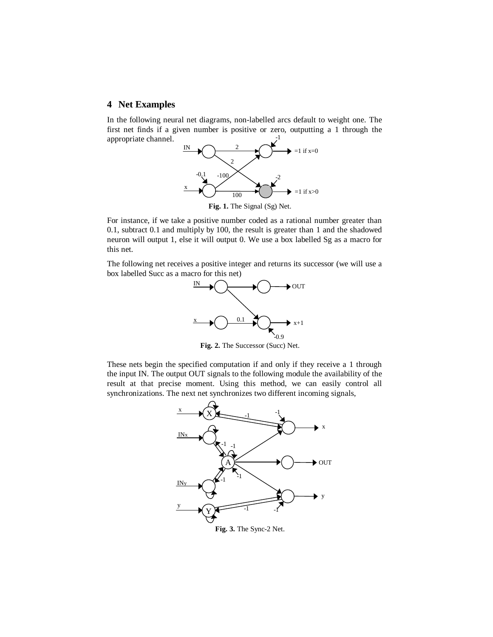# **4 Net Examples**

In the following neural net diagrams, non-labelled arcs default to weight one. The first net finds if a given number is positive or zero, outputting a 1 through the appropriate channel. -1



**Fig. 1.** The Signal (Sg) Net.

For instance, if we take a positive number coded as a rational number greater than 0.1, subtract 0.1 and multiply by 100, the result is greater than 1 and the shadowed neuron will output 1, else it will output 0. We use a box labelled Sg as a macro for this net.

The following net receives a positive integer and returns its successor (we will use a box labelled Succ as a macro for this net)



**Fig. 2.** The Successor (Succ) Net.

These nets begin the specified computation if and only if they receive a 1 through the input IN. The output OUT signals to the following module the availability of the result at that precise moment. Using this method, we can easily control all synchronizations. The next net synchronizes two different incoming signals,

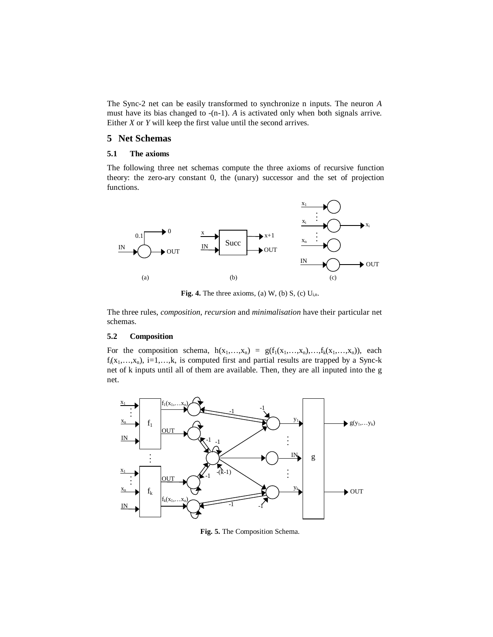The Sync-2 net can be easily transformed to synchronize n inputs. The neuron *A* must have its bias changed to -(n-1). *A* is activated only when both signals arrive. Either *X* or *Y* will keep the first value until the second arrives.

## **5 Net Schemas**

#### **5.1 The axioms**

The following three net schemas compute the three axioms of recursive function theory: the zero-ary constant 0, the (unary) successor and the set of projection functions.



**Fig. 4.** The three axioms, (a) W, (b) S, (c)  $U_{i,n}$ .

The three rules, *composition*, *recursion* and *minimalisation* have their particular net schemas.

#### **5.2 Composition**

For the composition schema,  $h(x_1,...,x_n) = g(f_1(x_1,...,x_n),...,f_k(x_1,...,x_n))$ , each  $f_i(x_1,...,x_n)$ , i=1,…,k, is computed first and partial results are trapped by a Sync-k net of k inputs until all of them are available. Then, they are all inputed into the g net.



**Fig. 5.** The Composition Schema.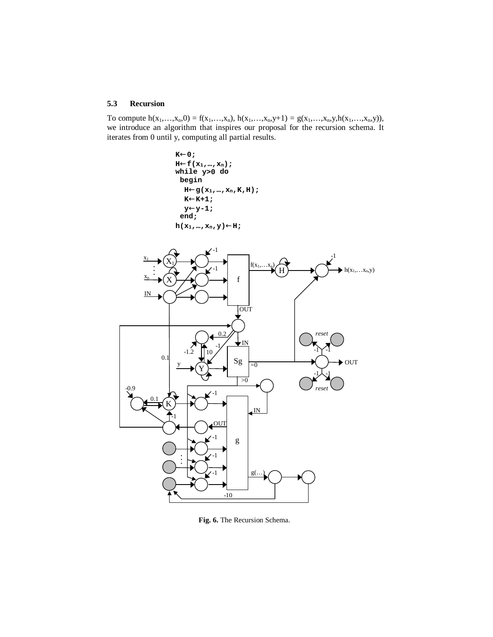## **5.3 Recursion**

To compute  $h(x_1,...,x_n,0) = f(x_1,...,x_n), h(x_1,...,x_n,y+1) = g(x_1,...,x_n,y,h(x_1,...,x_n,y)),$ we introduce an algorithm that inspires our proposal for the recursion schema. It iterates from 0 until y, computing all partial results.



**Fig. 6.** The Recursion Schema.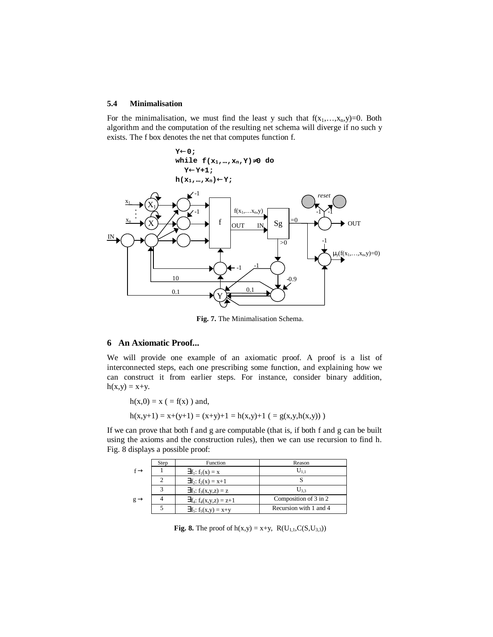#### **5.4 Minimalisation**

For the minimalisation, we must find the least y such that  $f(x_1,...,x_n,y)=0$ . Both algorithm and the computation of the resulting net schema will diverge if no such y exists. The f box denotes the net that computes function f.



**Fig. 7.** The Minimalisation Schema.

## **6 An Axiomatic Proof...**

We will provide one example of an axiomatic proof. A proof is a list of interconnected steps, each one prescribing some function, and explaining how we can construct it from earlier steps. For instance, consider binary addition,  $h(x,y) = x+y.$ 

 $h(x,0) = x$  ( = f(x) ) and,

$$
h(x,y+1) = x+(y+1) = (x+y)+1 = h(x,y)+1 (= g(x,y,h(x,y)))
$$

If we can prove that both f and g are computable (that is, if both f and g can be built using the axioms and the construction rules), then we can use recursion to find h. Fig. 8 displays a possible proof:

|                 | Step | Function                        | Reason                 |
|-----------------|------|---------------------------------|------------------------|
|                 |      | $\exists f_1: f_1(x) = x$       | $\mathrm{U}_{1.1}$     |
|                 |      | $\exists f_2: f_2(x) = x+1$     |                        |
|                 |      | $\exists f_3: f_3(x,y,z) = z$   | U33                    |
| $g \rightarrow$ |      | $\exists f_4: f_4(x,y,z) = z+1$ | Composition of 3 in 2  |
|                 |      | $\exists f_5: f_5(x,y) = x+y$   | Recursion with 1 and 4 |

**Fig. 8.** The proof of  $h(x,y) = x+y$ ,  $R(U_{1,1}, C(S, U_{3,3}))$